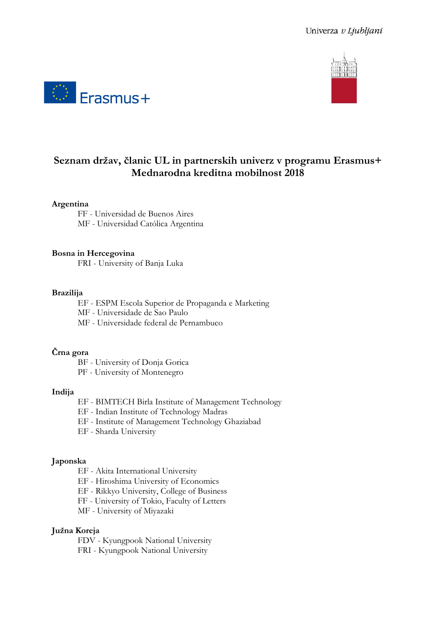



# **Seznam držav, članic UL in partnerskih univerz v programu Erasmus+ Mednarodna kreditna mobilnost 2018**

## **Argentina**

FF - Universidad de Buenos Aires MF - Universidad Católica Argentina

## **Bosna in Hercegovina**

FRI - University of Banja Luka

#### **Brazilija**

EF - ESPM Escola Superior de Propaganda e Marketing

MF - Universidade de Sao Paulo

MF - Universidade federal de Pernambuco

# **Črna gora**

BF - University of Donja Gorica

PF - University of Montenegro

#### **Indija**

- EF BIMTECH Birla Institute of Management Technology
- EF Indian Institute of Technology Madras
- EF Institute of Management Technology Ghaziabad
- EF Sharda University

#### **Japonska**

- EF Akita International University
- EF Hiroshima University of Economics

EF - Rikkyo University, College of Business

FF - University of Tokio, Faculty of Letters

MF - University of Miyazaki

#### **Južna Koreja**

FDV - Kyungpook National University FRI - Kyungpook National University